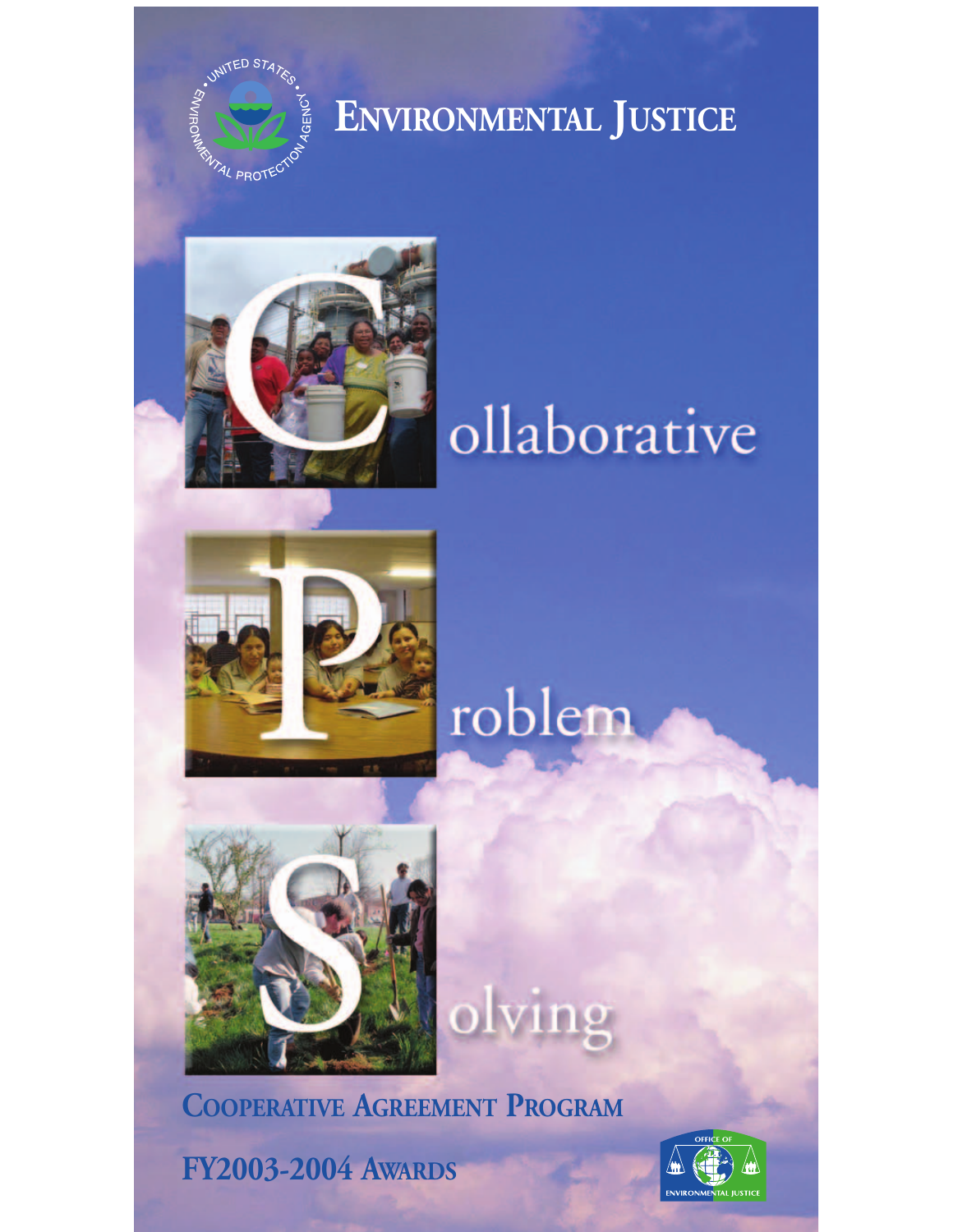

## **ENVIRONMENTAL JUSTICE**



## ollaborative







**COOPERATIVE AGREEMENT PROGRAM** 

**FY2003-2004 AWARDS** 

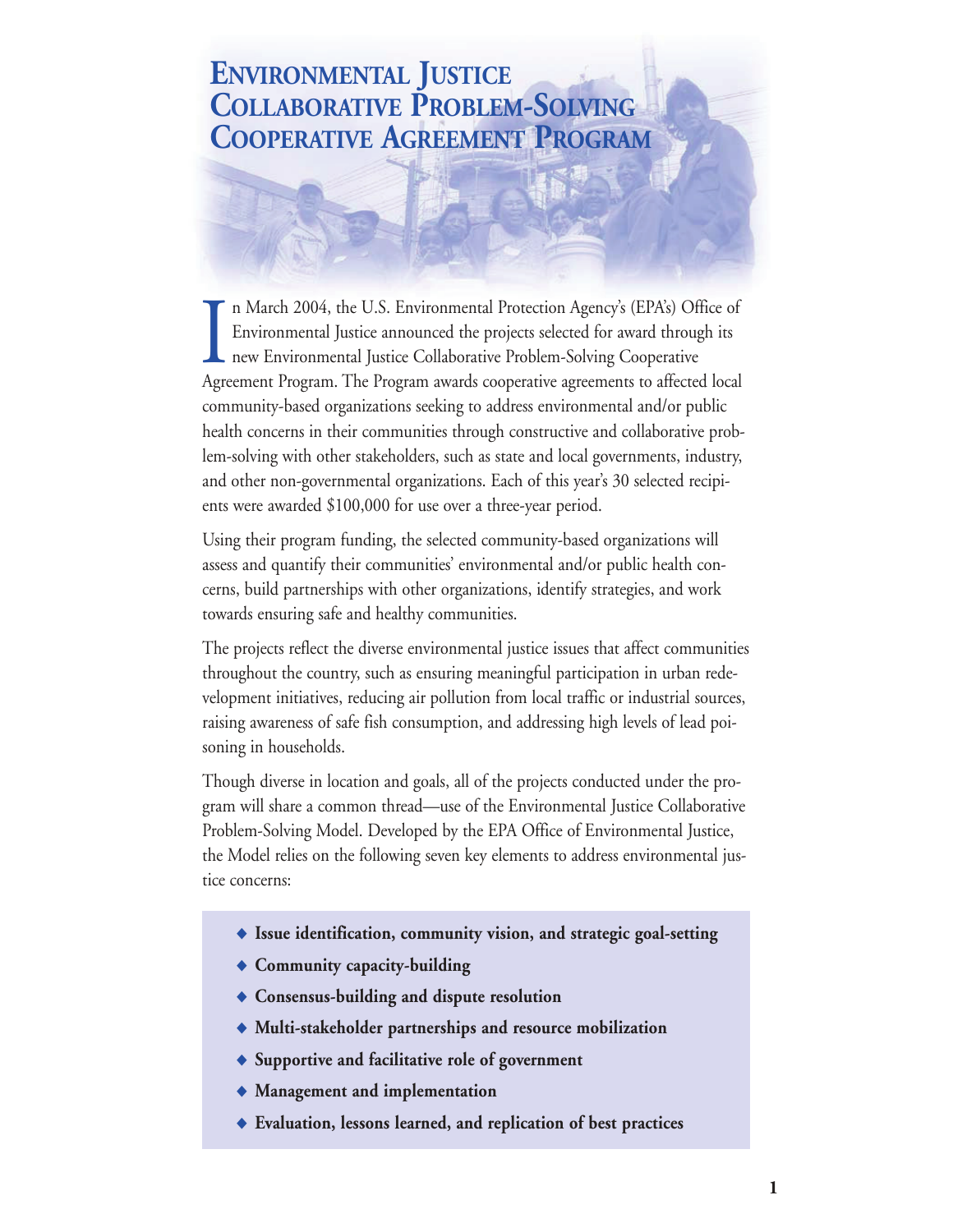## **ENVIRONMENTAL JUSTICE COLLABORATIVE PROBLEM-SOLVING COOPERATIVE AGREEMENT PROGRAM**

 $\prod_{\text{A} \text{ or } \text{ } \text{ } \text{ }$ n March 2004, the U.S. Environmental Protection Agency's (EPA's) Office of Environmental Justice announced the projects selected for award through its new Environmental Justice Collaborative Problem-Solving Cooperative Agreement Program. The Program awards cooperative agreements to affected local community-based organizations seeking to address environmental and/or public health concerns in their communities through constructive and collaborative problem-solving with other stakeholders, such as state and local governments, industry, and other non-governmental organizations. Each of this year's 30 selected recipients were awarded \$100,000 for use over a three-year period.

Using their program funding, the selected community-based organizations will assess and quantify their communities' environmental and/or public health concerns, build partnerships with other organizations, identify strategies, and work towards ensuring safe and healthy communities.

The projects reflect the diverse environmental justice issues that affect communities throughout the country, such as ensuring meaningful participation in urban redevelopment initiatives, reducing air pollution from local traffic or industrial sources, raising awareness of safe fish consumption, and addressing high levels of lead poisoning in households.

Though diverse in location and goals, all of the projects conducted under the program will share a common thread—use of the Environmental Justice Collaborative Problem-Solving Model. Developed by the EPA Office of Environmental Justice, the Model relies on the following seven key elements to address environmental justice concerns:

- ◆ **Issue identification, community vision, and strategic goal-setting**
- ◆ **Community capacity-building**
- ◆ **Consensus-building and dispute resolution**
- ◆ **Multi-stakeholder partnerships and resource mobilization**
- ◆ **Supportive and facilitative role of government**
- ◆ **Management and implementation**
- ◆ **Evaluation, lessons learned, and replication of best practices**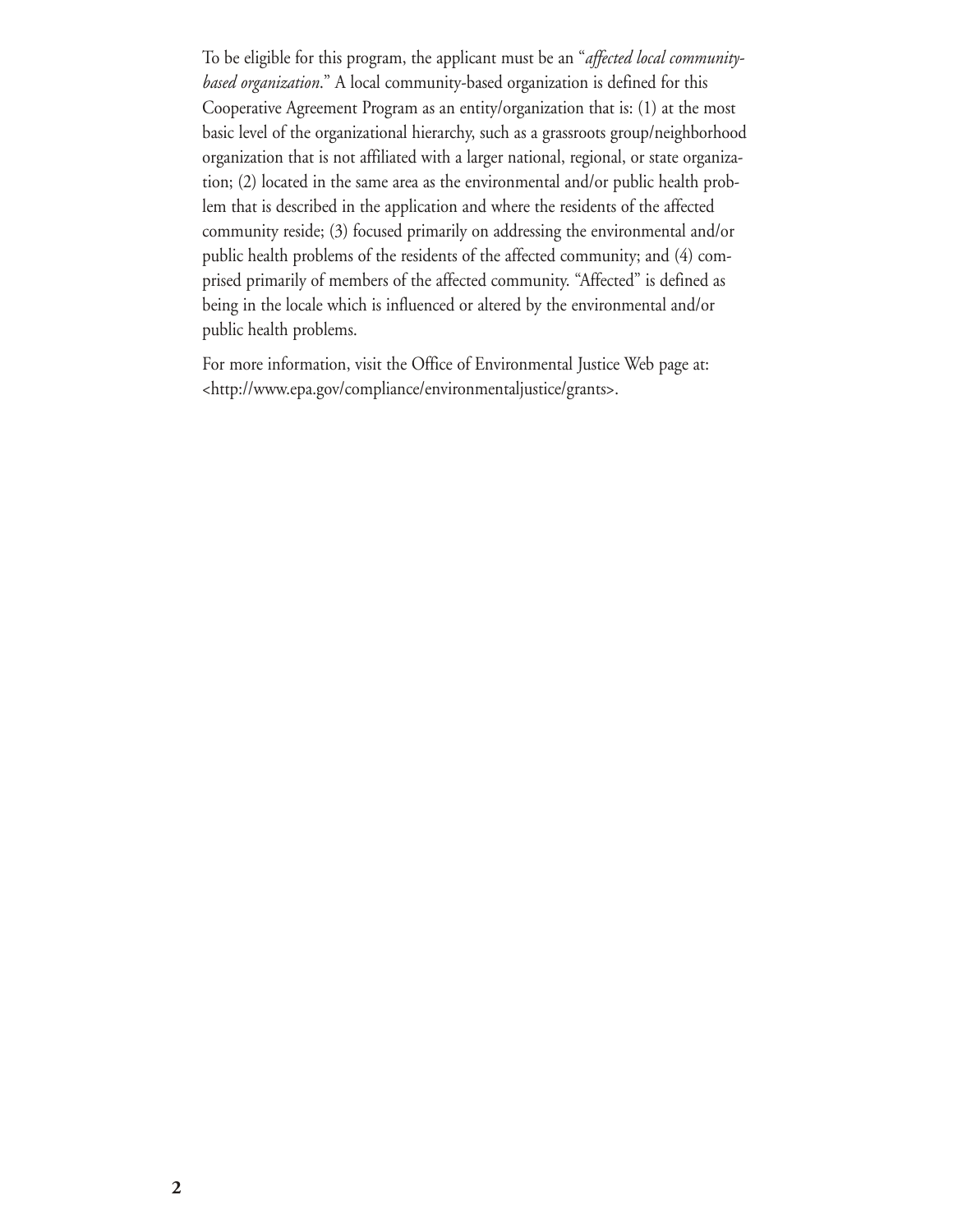To be eligible for this program, the applicant must be an "*affected local communitybased organization*." A local community-based organization is defined for this Cooperative Agreement Program as an entity/organization that is: (1) at the most basic level of the organizational hierarchy, such as a grassroots group/neighborhood organization that is not affiliated with a larger national, regional, or state organization; (2) located in the same area as the environmental and/or public health problem that is described in the application and where the residents of the affected community reside; (3) focused primarily on addressing the environmental and/or public health problems of the residents of the affected community; and (4) comprised primarily of members of the affected community. "Affected" is defined as being in the locale which is influenced or altered by the environmental and/or public health problems.

For more information, visit the Office of Environmental Justice Web page at: [<http://www.epa.gov/compliance/environmentaljustice/grants>](http://www.epa.gov/compliance/environmentaljustice/grants).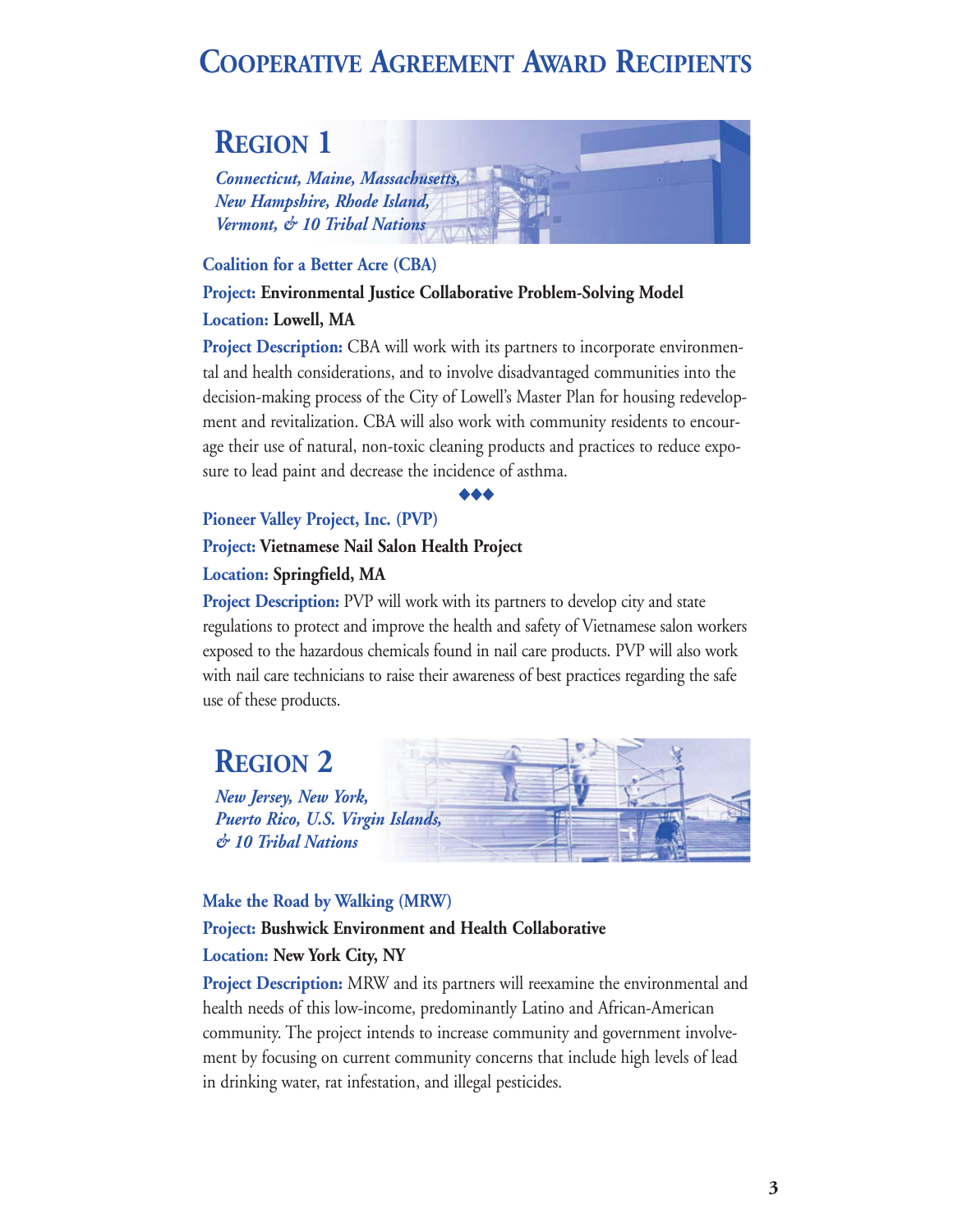## **COOPERATIVE AGREEMENT AWARD RECIPIENTS**

## **REGION 1**

*Connecticut, Maine, Massachusetts, New Hampshire, Rhode Island, Vermont, & 10 Tribal Nations* 

#### **Coalition for a Better Acre (CBA)**

#### **Project: Environmental Justice Collaborative Problem-Solving Model**

#### **Location: Lowell, MA**

**Project Description:** CBA will work with its partners to incorporate environmental and health considerations, and to involve disadvantaged communities into the decision-making process of the City of Lowell's Master Plan for housing redevelopment and revitalization. CBA will also work with community residents to encourage their use of natural, non-toxic cleaning products and practices to reduce exposure to lead paint and decrease the incidence of asthma.

#### ◆◆◆

#### **Pioneer Valley Project, Inc. (PVP)**

#### **Project: Vietnamese Nail Salon Health Project Location: Springfield, MA**

**Project Description:** PVP will work with its partners to develop city and state regulations to protect and improve the health and safety of Vietnamese salon workers exposed to the hazardous chemicals found in nail care products. PVP will also work with nail care technicians to raise their awareness of best practices regarding the safe use of these products.

## **REGION 2**

*New Jersey, New York, Puerto Rico, U.S. Virgin Islands, & 10 Tribal Nations* 



#### **Make the Road by Walking (MRW)**

#### **Project: Bushwick Environment and Health Collaborative**

#### **Location: New York City, NY**

**Project Description:** MRW and its partners will reexamine the environmental and health needs of this low-income, predominantly Latino and African-American community. The project intends to increase community and government involvement by focusing on current community concerns that include high levels of lead in drinking water, rat infestation, and illegal pesticides.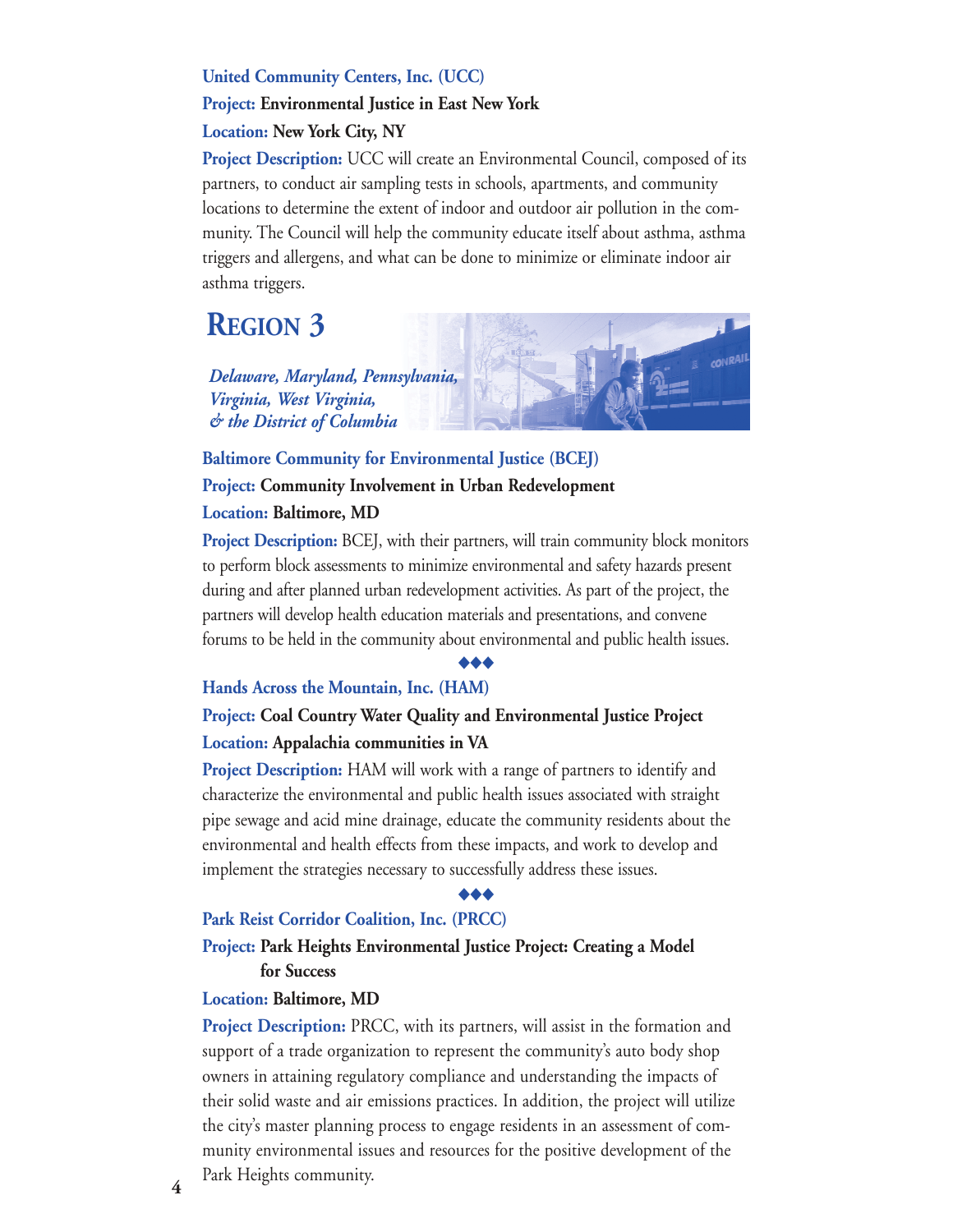#### **United Community Centers, Inc. (UCC)**

#### **Project: Environmental Justice in East New York**

#### **Location: New York City, NY**

**Project Description:** UCC will create an Environmental Council, composed of its partners, to conduct air sampling tests in schools, apartments, and community locations to determine the extent of indoor and outdoor air pollution in the community. The Council will help the community educate itself about asthma, asthma triggers and allergens, and what can be done to minimize or eliminate indoor air asthma triggers.

## **REGION 3**

*Delaware, Maryland, Pennsylvania, Virginia, West Virginia, & the District of Columbia* 



### **Baltimore Community for Environmental Justice (BCEJ)**

#### **Project: Community Involvement in Urban Redevelopment**

#### **Location: Baltimore, MD**

**Project Description:** BCEJ, with their partners, will train community block monitors to perform block assessments to minimize environmental and safety hazards present during and after planned urban redevelopment activities. As part of the project, the partners will develop health education materials and presentations, and convene forums to be held in the community about environmental and public health issues.

#### ◆◆◆

#### **Hands Across the Mountain, Inc. (HAM)**

#### **Project: Coal Country Water Quality and Environmental Justice Project Location: Appalachia communities in VA**

**Project Description:** HAM will work with a range of partners to identify and characterize the environmental and public health issues associated with straight pipe sewage and acid mine drainage, educate the community residents about the environmental and health effects from these impacts, and work to develop and implement the strategies necessary to successfully address these issues.

#### ◆◆◆

#### **Park Reist Corridor Coalition, Inc. (PRCC)**

#### **Project: Park Heights Environmental Justice Project: Creating a Model for Success**

#### **Location: Baltimore, MD**

**Project Description:** PRCC, with its partners, will assist in the formation and support of a trade organization to represent the community's auto body shop owners in attaining regulatory compliance and understanding the impacts of their solid waste and air emissions practices. In addition, the project will utilize the city's master planning process to engage residents in an assessment of community environmental issues and resources for the positive development of the Park Heights community. **4**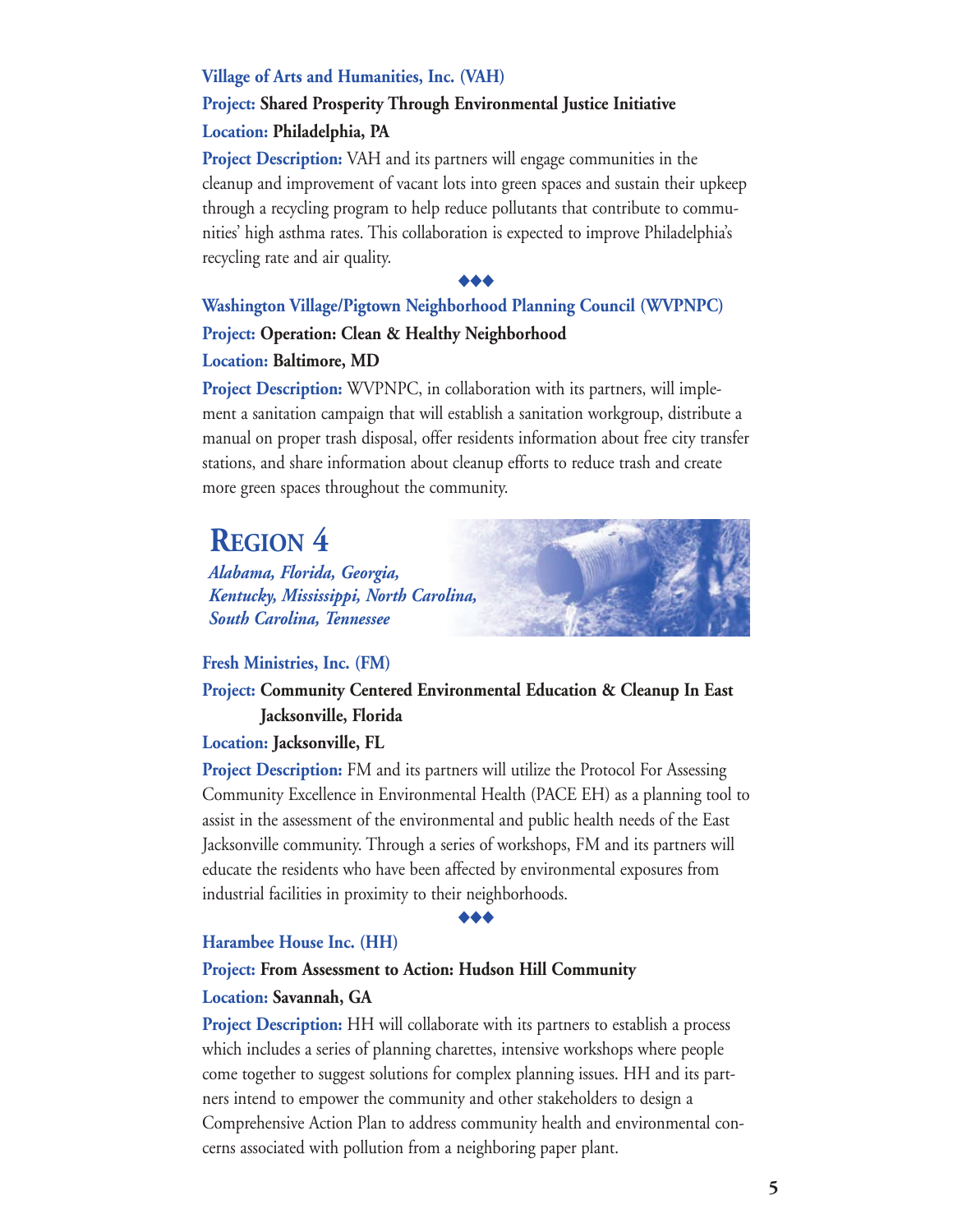#### **Village of Arts and Humanities, Inc. (VAH)**

#### **Project: Shared Prosperity Through Environmental Justice Initiative Location: Philadelphia, PA**

**Project Description:** VAH and its partners will engage communities in the cleanup and improvement of vacant lots into green spaces and sustain their upkeep through a recycling program to help reduce pollutants that contribute to communities' high asthma rates. This collaboration is expected to improve Philadelphia's recycling rate and air quality.

#### ◆◆◆

#### **Washington Village/Pigtown Neighborhood Planning Council (WVPNPC) Project: Operation: Clean & Healthy Neighborhood Location: Baltimore, MD**

**Project Description:** WVPNPC, in collaboration with its partners, will implement a sanitation campaign that will establish a sanitation workgroup, distribute a manual on proper trash disposal, offer residents information about free city transfer stations, and share information about cleanup efforts to reduce trash and create more green spaces throughout the community.

## **REGION 4**

*Alabama, Florida, Georgia, Kentucky, Mississippi, North Carolina, South Carolina, Tennessee* 

#### **Fresh Ministries, Inc. (FM)**

#### **Project: Community Centered Environmental Education & Cleanup In East Jacksonville, Florida**

#### **Location: Jacksonville, FL**

**Project Description:** FM and its partners will utilize the Protocol For Assessing Community Excellence in Environmental Health (PACE EH) as a planning tool to assist in the assessment of the environmental and public health needs of the East Jacksonville community. Through a series of workshops, FM and its partners will educate the residents who have been affected by environmental exposures from industrial facilities in proximity to their neighborhoods.

#### ◆◆◆

#### **Harambee House Inc. (HH)**

#### **Project: From Assessment to Action: Hudson Hill Community**

#### **Location: Savannah, GA**

**Project Description:** HH will collaborate with its partners to establish a process which includes a series of planning charettes, intensive workshops where people come together to suggest solutions for complex planning issues. HH and its partners intend to empower the community and other stakeholders to design a Comprehensive Action Plan to address community health and environmental concerns associated with pollution from a neighboring paper plant.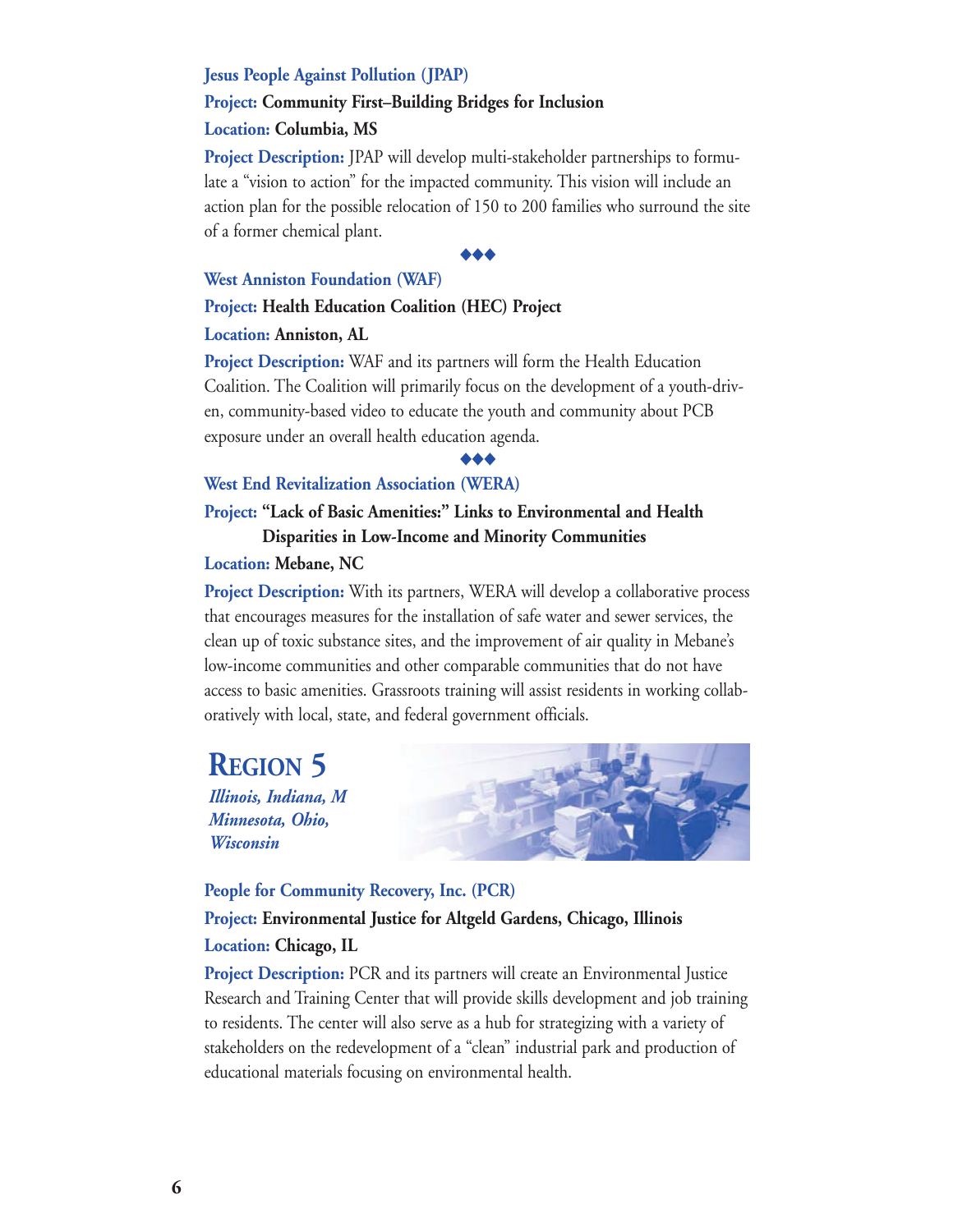#### **Jesus People Against Pollution (JPAP)**

#### **Project: Community First–Building Bridges for Inclusion**

#### **Location: Columbia, MS**

**Project Description:** JPAP will develop multi-stakeholder partnerships to formulate a "vision to action" for the impacted community. This vision will include an action plan for the possible relocation of 150 to 200 families who surround the site of a former chemical plant.

#### ◆◆◆

#### **West Anniston Foundation (WAF)**

#### **Project: Health Education Coalition (HEC) Project**

#### **Location: Anniston, AL**

**Project Description:** WAF and its partners will form the Health Education Coalition. The Coalition will primarily focus on the development of a youth-driven, community-based video to educate the youth and community about PCB exposure under an overall health education agenda.

#### ◆◆◆

#### **West End Revitalization Association (WERA)**

#### **Project: "Lack of Basic Amenities:" Links to Environmental and Health Disparities in Low-Income and Minority Communities**

#### **Location: Mebane, NC**

**Project Description:** With its partners, WERA will develop a collaborative process that encourages measures for the installation of safe water and sewer services, the clean up of toxic substance sites, and the improvement of air quality in Mebane's low-income communities and other comparable communities that do not have access to basic amenities. Grassroots training will assist residents in working collaboratively with local, state, and federal government officials.

## **REGION 5**

*Illinois, Indiana, M Minnesota, Ohio, Wisconsin* 



#### **People for Community Recovery, Inc. (PCR) Project: Environmental Justice for Altgeld Gardens, Chicago, Illinois**

#### **Location: Chicago, IL**

**Project Description:** PCR and its partners will create an Environmental Justice Research and Training Center that will provide skills development and job training to residents. The center will also serve as a hub for strategizing with a variety of stakeholders on the redevelopment of a "clean" industrial park and production of educational materials focusing on environmental health.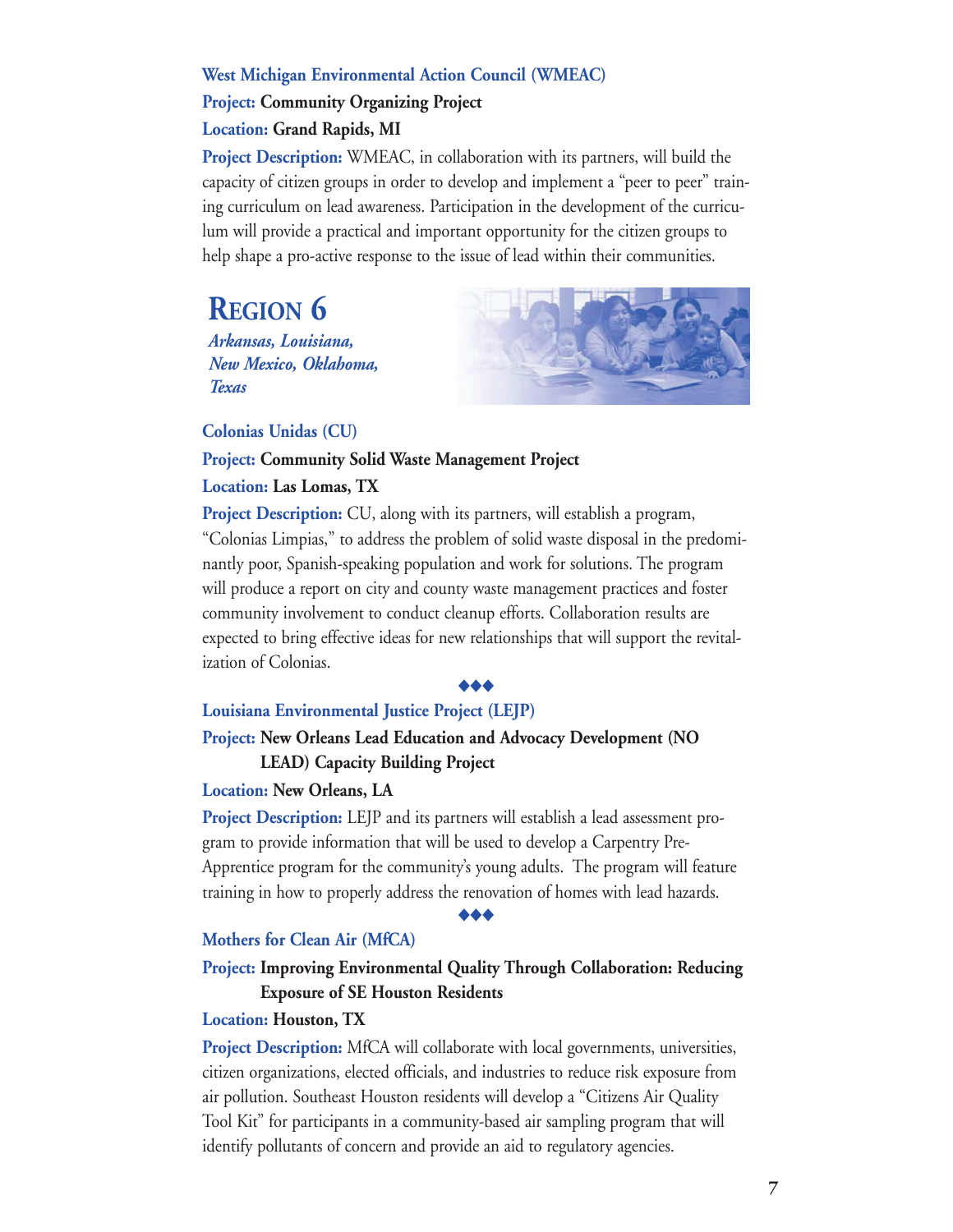#### **West Michigan Environmental Action Council (WMEAC)**

**Project: Community Organizing Project** 

#### **Location: Grand Rapids, MI**

**Project Description:** WMEAC, in collaboration with its partners, will build the capacity of citizen groups in order to develop and implement a "peer to peer" training curriculum on lead awareness. Participation in the development of the curriculum will provide a practical and important opportunity for the citizen groups to help shape a pro-active response to the issue of lead within their communities.

## **REGION 6**

*Arkansas, Louisiana, New Mexico, Oklahoma, Texas* 



**Colonias Unidas (CU)** 

## **Project: Community Solid Waste Management Project**

#### **Location: Las Lomas, TX**

**Project Description:** CU, along with its partners, will establish a program, "Colonias Limpias," to address the problem of solid waste disposal in the predominantly poor, Spanish-speaking population and work for solutions. The program will produce a report on city and county waste management practices and foster community involvement to conduct cleanup efforts. Collaboration results are expected to bring effective ideas for new relationships that will support the revitalization of Colonias.

#### ◆◆◆

#### **Louisiana Environmental Justice Project (LEJP)**

#### **Project: New Orleans Lead Education and Advocacy Development (NO LEAD) Capacity Building Project**

#### **Location: New Orleans, LA**

**Project Description:** LEJP and its partners will establish a lead assessment program to provide information that will be used to develop a Carpentry Pre-Apprentice program for the community's young adults. The program will feature training in how to properly address the renovation of homes with lead hazards.

#### ◆◆◆

#### **Mothers for Clean Air (MfCA)**

#### **Project: Improving Environmental Quality Through Collaboration: Reducing Exposure of SE Houston Residents**

#### **Location: Houston, TX**

**Project Description:** MfCA will collaborate with local governments, universities, citizen organizations, elected officials, and industries to reduce risk exposure from air pollution. Southeast Houston residents will develop a "Citizens Air Quality Tool Kit" for participants in a community-based air sampling program that will identify pollutants of concern and provide an aid to regulatory agencies.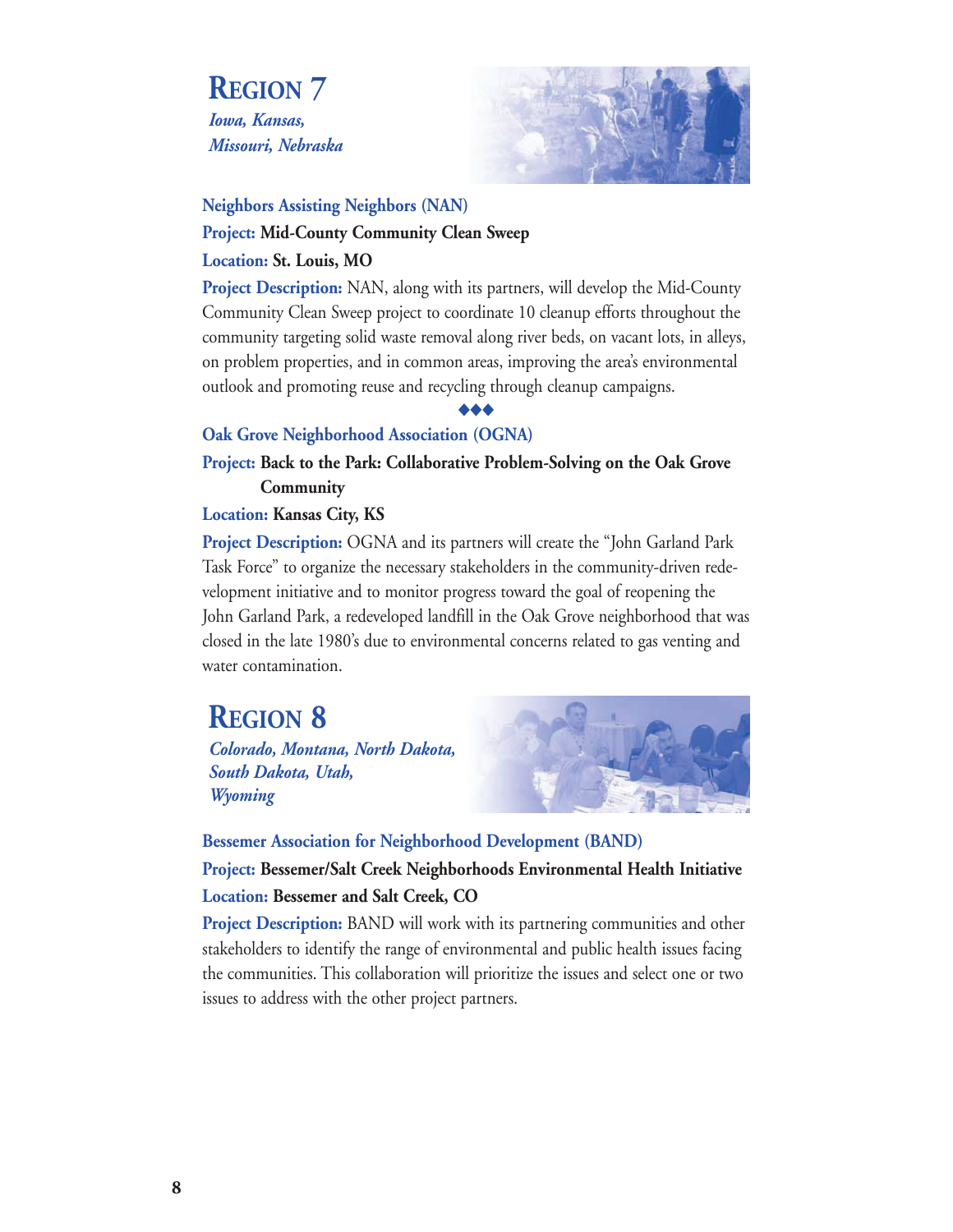**REGION 7**  *Iowa, Kansas, Missouri, Nebraska* 



#### **Neighbors Assisting Neighbors (NAN) Project: Mid-County Community Clean Sweep Location: St. Louis, MO**

**Project Description:** NAN, along with its partners, will develop the Mid-County Community Clean Sweep project to coordinate 10 cleanup efforts throughout the community targeting solid waste removal along river beds, on vacant lots, in alleys, on problem properties, and in common areas, improving the area's environmental outlook and promoting reuse and recycling through cleanup campaigns.

#### ◆◆◆

#### **Oak Grove Neighborhood Association (OGNA)**

**Project: Back to the Park: Collaborative Problem-Solving on the Oak Grove Community** 

**Location: Kansas City, KS** 

**Project Description:** OGNA and its partners will create the "John Garland Park Task Force" to organize the necessary stakeholders in the community-driven redevelopment initiative and to monitor progress toward the goal of reopening the John Garland Park, a redeveloped landfill in the Oak Grove neighborhood that was closed in the late 1980's due to environmental concerns related to gas venting and water contamination.

## **REGION 8**

*Colorado, Montana, North Dakota, South Dakota, Utah, Wyoming* 



**Bessemer Association for Neighborhood Development (BAND) Project: Bessemer/Salt Creek Neighborhoods Environmental Health Initiative Location: Bessemer and Salt Creek, CO** 

**Project Description:** BAND will work with its partnering communities and other stakeholders to identify the range of environmental and public health issues facing the communities. This collaboration will prioritize the issues and select one or two issues to address with the other project partners.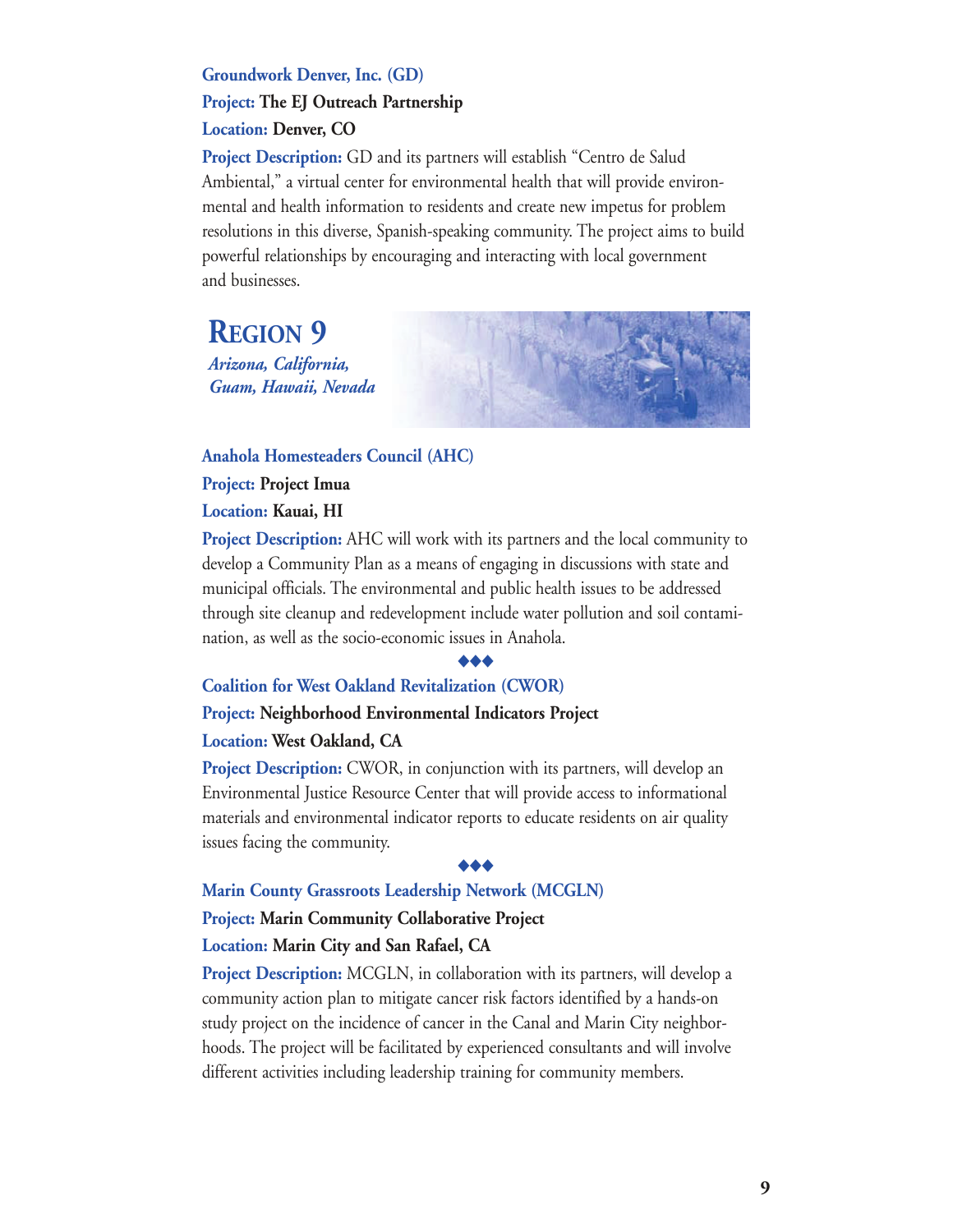#### **Groundwork Denver, Inc. (GD) Project: The EJ Outreach Partnership Location: Denver, CO**

**Project Description:** GD and its partners will establish "Centro de Salud Ambiental," a virtual center for environmental health that will provide environmental and health information to residents and create new impetus for problem resolutions in this diverse, Spanish-speaking community. The project aims to build powerful relationships by encouraging and interacting with local government and businesses.

**REGION 9**  *Arizona, California, Guam, Hawaii, Nevada* 

**Anahola Homesteaders Council (AHC) Project: Project Imua Location: Kauai, HI** 

**Project Description:** AHC will work with its partners and the local community to develop a Community Plan as a means of engaging in discussions with state and municipal officials. The environmental and public health issues to be addressed through site cleanup and redevelopment include water pollution and soil contamination, as well as the socio-economic issues in Anahola.

#### ◆◆◆

#### **Coalition for West Oakland Revitalization (CWOR)**

#### **Project: Neighborhood Environmental Indicators Project**

#### **Location: West Oakland, CA**

**Project Description:** CWOR, in conjunction with its partners, will develop an Environmental Justice Resource Center that will provide access to informational materials and environmental indicator reports to educate residents on air quality issues facing the community.

#### ◆◆◆

#### **Marin County Grassroots Leadership Network (MCGLN)**

#### **Project: Marin Community Collaborative Project**

#### **Location: Marin City and San Rafael, CA**

**Project Description:** MCGLN, in collaboration with its partners, will develop a community action plan to mitigate cancer risk factors identified by a hands-on study project on the incidence of cancer in the Canal and Marin City neighborhoods. The project will be facilitated by experienced consultants and will involve different activities including leadership training for community members.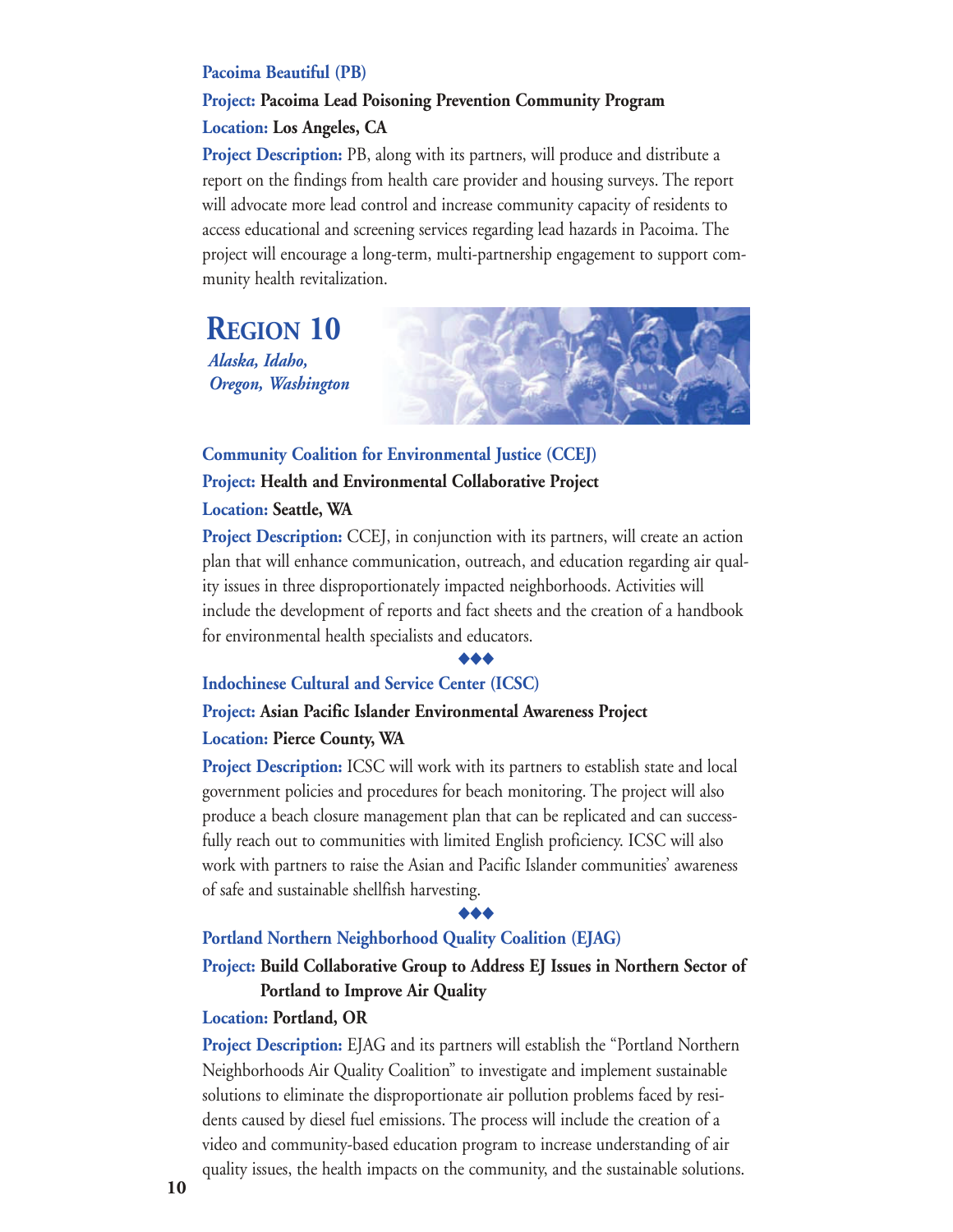#### **Pacoima Beautiful (PB)**

#### **Project: Pacoima Lead Poisoning Prevention Community Program Location: Los Angeles, CA**

**Project Description:** PB, along with its partners, will produce and distribute a report on the findings from health care provider and housing surveys. The report will advocate more lead control and increase community capacity of residents to access educational and screening services regarding lead hazards in Pacoima. The project will encourage a long-term, multi-partnership engagement to support community health revitalization.

**REGION 10**  *Alaska, Idaho, Oregon, Washington* 



#### **Community Coalition for Environmental Justice (CCEJ) Project: Health and Environmental Collaborative Project Location: Seattle, WA**

**Project Description:** CCEJ, in conjunction with its partners, will create an action plan that will enhance communication, outreach, and education regarding air quality issues in three disproportionately impacted neighborhoods. Activities will include the development of reports and fact sheets and the creation of a handbook for environmental health specialists and educators.

#### ◆◆◆

#### **Indochinese Cultural and Service Center (ICSC)**

#### **Project: Asian Pacific Islander Environmental Awareness Project Location: Pierce County, WA**

**Project Description:** ICSC will work with its partners to establish state and local government policies and procedures for beach monitoring. The project will also produce a beach closure management plan that can be replicated and can successfully reach out to communities with limited English proficiency. ICSC will also work with partners to raise the Asian and Pacific Islander communities' awareness of safe and sustainable shellfish harvesting.

#### ◆◆◆

#### **Portland Northern Neighborhood Quality Coalition (EJAG)**

#### **Project: Build Collaborative Group to Address EJ Issues in Northern Sector of Portland to Improve Air Quality**

#### **Location: Portland, OR**

**Project Description:** EJAG and its partners will establish the "Portland Northern" Neighborhoods Air Quality Coalition" to investigate and implement sustainable solutions to eliminate the disproportionate air pollution problems faced by residents caused by diesel fuel emissions. The process will include the creation of a video and community-based education program to increase understanding of air quality issues, the health impacts on the community, and the sustainable solutions.